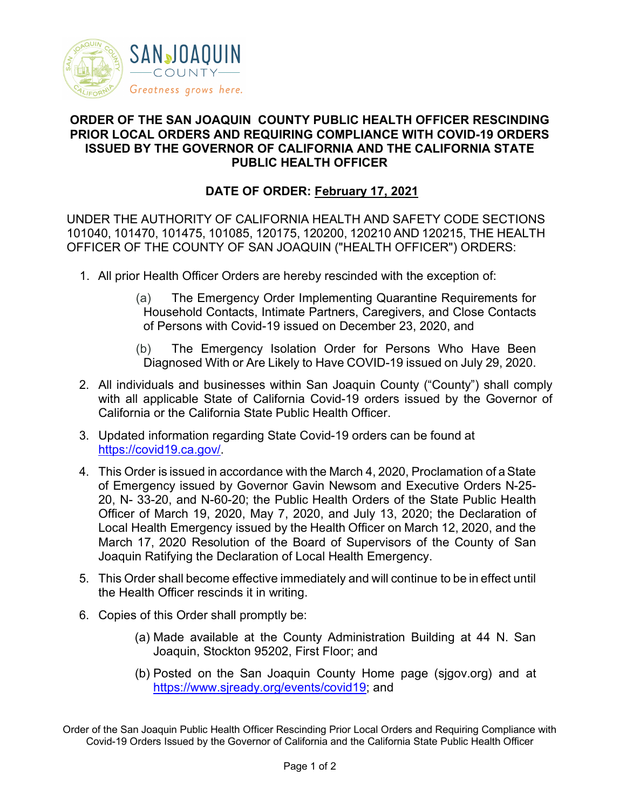

## **ORDER OF THE SAN JOAQUIN COUNTY PUBLIC HEALTH OFFICER RESCINDING PRIOR LOCAL ORDERS AND REQUIRING COMPLIANCE WITH COVID-19 ORDERS ISSUED BY THE GOVERNOR OF CALIFORNIA AND THE CALIFORNIA STATE PUBLIC HEALTH OFFICER**

## **DATE OF ORDER: February 17, 2021**

UNDER THE AUTHORITY OF CALIFORNIA HEALTH AND SAFETY CODE SECTIONS 101040, 101470, 101475, 101085, 120175, 120200, 120210 AND 120215, THE HEALTH OFFICER OF THE COUNTY OF SAN JOAQUIN ("HEALTH OFFICER") ORDERS:

- 1. All prior Health Officer Orders are hereby rescinded with the exception of:
	- (a) The Emergency Order Implementing Quarantine Requirements for Household Contacts, Intimate Partners, Caregivers, and Close Contacts of Persons with Covid-19 issued on December 23, 2020, and
	- (b) The Emergency Isolation Order for Persons Who Have Been Diagnosed With or Are Likely to Have COVID-19 issued on July 29, 2020.
- 2. All individuals and businesses within San Joaquin County ("County") shall comply with all applicable State of California Covid-19 orders issued by the Governor of California or the California State Public Health Officer.
- 3. Updated information regarding State Covid-19 orders can be found at [https://covid19.ca.gov/.](https://covid19.ca.gov/)
- 4. This Order is issued in accordance with the March 4, 2020, Proclamation of aState of Emergency issued by Governor Gavin Newsom and Executive Orders N-25- 20, N- 33-20, and N-60-20; the Public Health Orders of the State Public Health Officer of March 19, 2020, May 7, 2020, and July 13, 2020; the Declaration of Local Health Emergency issued by the Health Officer on March 12, 2020, and the March 17, 2020 Resolution of the Board of Supervisors of the County of San Joaquin Ratifying the Declaration of Local Health Emergency.
- 5. This Order shall become effective immediately and will continue to be in effect until the Health Officer rescinds it in writing.
- 6. Copies of this Order shall promptly be:
	- (a) Made available at the County Administration Building at 44 N. San Joaquin, Stockton 95202, First Floor; and
	- (b) Posted on the San Joaquin County Home page (sjgov.org) and at [https://www.sjready.org/events/covid19;](https://www.sjready.org/events/covid19) and

Order of the San Joaquin Public Health Officer Rescinding Prior Local Orders and Requiring Compliance with Covid-19 Orders Issued by the Governor of California and the California State Public Health Officer